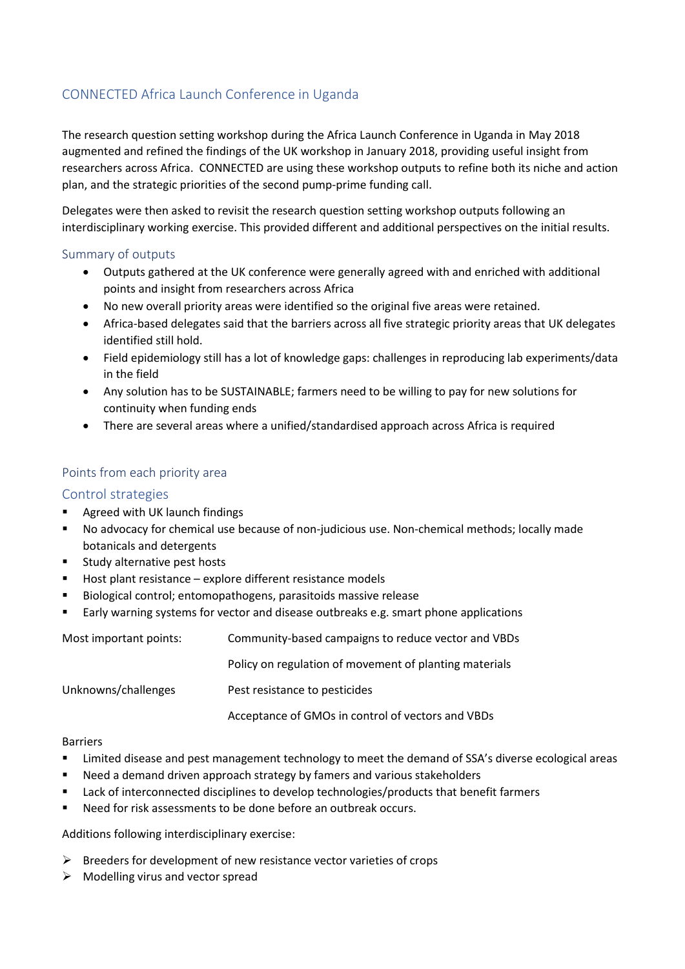# CONNECTED Africa Launch Conference in Uganda

The research question setting workshop during the Africa Launch Conference in Uganda in May 2018 augmented and refined the findings of the UK workshop in January 2018, providing useful insight from researchers across Africa. CONNECTED are using these workshop outputs to refine both its niche and action plan, and the strategic priorities of the second pump-prime funding call.

Delegates were then asked to revisit the research question setting workshop outputs following an interdisciplinary working exercise. This provided different and additional perspectives on the initial results.

## Summary of outputs

- Outputs gathered at the UK conference were generally agreed with and enriched with additional points and insight from researchers across Africa
- No new overall priority areas were identified so the original five areas were retained.
- Africa-based delegates said that the barriers across all five strategic priority areas that UK delegates identified still hold.
- Field epidemiology still has a lot of knowledge gaps: challenges in reproducing lab experiments/data in the field
- Any solution has to be SUSTAINABLE; farmers need to be willing to pay for new solutions for continuity when funding ends
- There are several areas where a unified/standardised approach across Africa is required

## Points from each priority area

## Control strategies

- Agreed with UK launch findings
- No advocacy for chemical use because of non-judicious use. Non-chemical methods; locally made botanicals and detergents
- Study alternative pest hosts
- Host plant resistance explore different resistance models
- Biological control; entomopathogens, parasitoids massive release
- Early warning systems for vector and disease outbreaks e.g. smart phone applications

| Most important points: | Community-based campaigns to reduce vector and VBDs    |
|------------------------|--------------------------------------------------------|
|                        | Policy on regulation of movement of planting materials |
| Unknowns/challenges    | Pest resistance to pesticides                          |
|                        | Acceptance of GMOs in control of vectors and VBDs      |

#### Barriers

- **EXECT** Limited disease and pest management technology to meet the demand of SSA's diverse ecological areas
- Need a demand driven approach strategy by famers and various stakeholders
- Lack of interconnected disciplines to develop technologies/products that benefit farmers
- Need for risk assessments to be done before an outbreak occurs.

Additions following interdisciplinary exercise:

- $\triangleright$  Breeders for development of new resistance vector varieties of crops
- $\triangleright$  Modelling virus and vector spread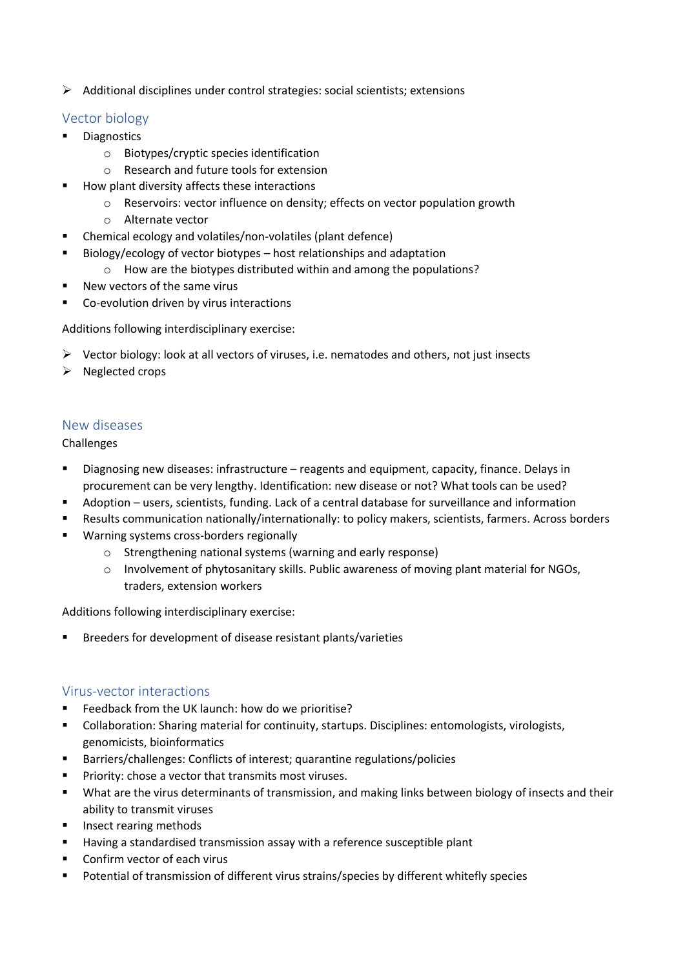➢ Additional disciplines under control strategies: social scientists; extensions

# Vector biology

- **Diagnostics** 
	- o Biotypes/cryptic species identification
	- o Research and future tools for extension
- How plant diversity affects these interactions
	- o Reservoirs: vector influence on density; effects on vector population growth
	- o Alternate vector
- Chemical ecology and volatiles/non-volatiles (plant defence)
- Biology/ecology of vector biotypes host relationships and adaptation
	- o How are the biotypes distributed within and among the populations?
- New vectors of the same virus
- Co-evolution driven by virus interactions

Additions following interdisciplinary exercise:

- $\triangleright$  Vector biology: look at all vectors of viruses, i.e. nematodes and others, not just insects
- ➢ Neglected crops

# New diseases

Challenges

- Diagnosing new diseases: infrastructure reagents and equipment, capacity, finance. Delays in procurement can be very lengthy. Identification: new disease or not? What tools can be used?
- Adoption users, scientists, funding. Lack of a central database for surveillance and information
- Results communication nationally/internationally: to policy makers, scientists, farmers. Across borders
- Warning systems cross-borders regionally
	- o Strengthening national systems (warning and early response)
	- $\circ$  Involvement of phytosanitary skills. Public awareness of moving plant material for NGOs, traders, extension workers

Additions following interdisciplinary exercise:

Breeders for development of disease resistant plants/varieties

# Virus-vector interactions

- Feedback from the UK launch: how do we prioritise?
- Collaboration: Sharing material for continuity, startups. Disciplines: entomologists, virologists, genomicists, bioinformatics
- Barriers/challenges: Conflicts of interest; quarantine regulations/policies
- Priority: chose a vector that transmits most viruses.
- What are the virus determinants of transmission, and making links between biology of insects and their ability to transmit viruses
- Insect rearing methods
- Having a standardised transmission assay with a reference susceptible plant
- Confirm vector of each virus
- Potential of transmission of different virus strains/species by different whitefly species